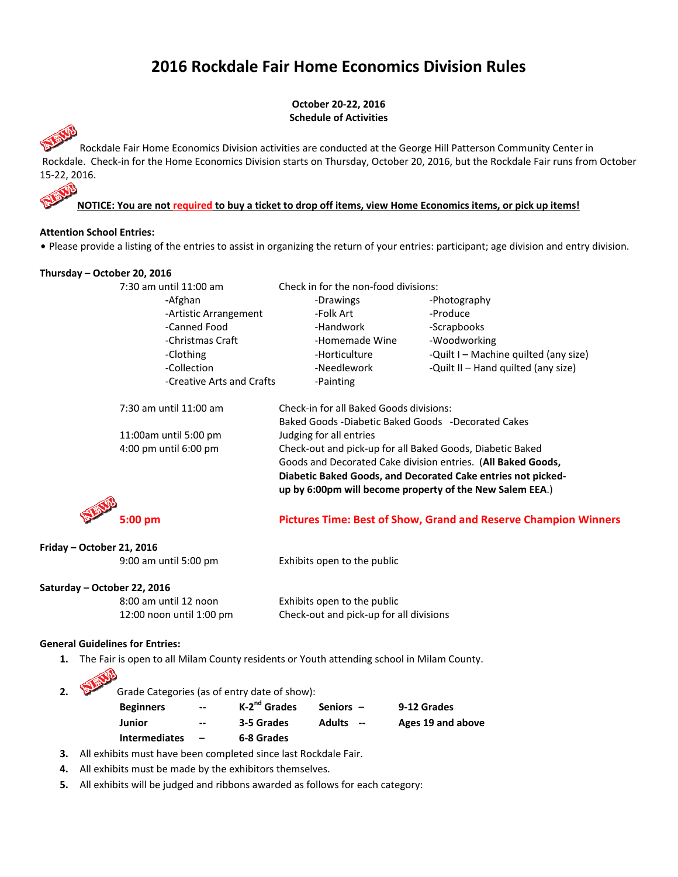# **2016 Rockdale Fair Home Economics Division Rules**

**October 20‐22, 2016 Schedule of Activities** 

 Rockdale Fair Home Economics Division activities are conducted at the George Hill Patterson Community Center in Rockdale. Check‐in for the Home Economics Division starts on Thursday, October 20, 2016, but the Rockdale Fair runs from October 15‐22, 2016.

**NOTICE: You are not required to buy a ticket to drop off items, view Home Economics items, or pick up items!** 

# **Attention School Entries:**

. Please provide a listing of the entries to assist in organizing the return of your entries: participant; age division and entry division.

| Thursday – October 20, 2016 |                           |                                                                                                                                                                                          |                                                                        |  |  |
|-----------------------------|---------------------------|------------------------------------------------------------------------------------------------------------------------------------------------------------------------------------------|------------------------------------------------------------------------|--|--|
|                             | 7:30 am until 11:00 am    | Check in for the non-food divisions:                                                                                                                                                     |                                                                        |  |  |
|                             | -Afghan                   | -Drawings                                                                                                                                                                                | -Photography                                                           |  |  |
|                             | -Artistic Arrangement     | -Folk Art                                                                                                                                                                                | -Produce                                                               |  |  |
|                             | -Canned Food              | -Handwork                                                                                                                                                                                | -Scrapbooks                                                            |  |  |
|                             | -Christmas Craft          | -Homemade Wine                                                                                                                                                                           | -Woodworking                                                           |  |  |
|                             | -Clothing                 | -Horticulture                                                                                                                                                                            | -Quilt I – Machine quilted (any size)                                  |  |  |
|                             | -Collection               | -Needlework                                                                                                                                                                              | -Quilt II – Hand quilted (any size)                                    |  |  |
|                             | -Creative Arts and Crafts | -Painting                                                                                                                                                                                |                                                                        |  |  |
|                             | 7:30 am until 11:00 am    | Check-in for all Baked Goods divisions:                                                                                                                                                  |                                                                        |  |  |
|                             |                           | Baked Goods -Diabetic Baked Goods -Decorated Cakes                                                                                                                                       |                                                                        |  |  |
| 11:00am until 5:00 pm       |                           | Judging for all entries                                                                                                                                                                  |                                                                        |  |  |
| 4:00 pm until 6:00 pm       |                           | Check-out and pick-up for all Baked Goods, Diabetic Baked                                                                                                                                |                                                                        |  |  |
|                             |                           | Goods and Decorated Cake division entries. (All Baked Goods,<br>Diabetic Baked Goods, and Decorated Cake entries not picked-<br>up by 6:00pm will become property of the New Salem EEA.) |                                                                        |  |  |
|                             |                           |                                                                                                                                                                                          |                                                                        |  |  |
|                             |                           |                                                                                                                                                                                          |                                                                        |  |  |
|                             |                           |                                                                                                                                                                                          |                                                                        |  |  |
|                             | 5:00 pm                   |                                                                                                                                                                                          | <b>Pictures Time: Best of Show, Grand and Reserve Champion Winners</b> |  |  |

# **Friday – October 21, 2016**

9:00 am until 5:00 pm Exhibits open to the public

#### **Saturday – October 22, 2016**

8:00 am until 12 noon Exhibits open to the public 12:00 noon until 1:00 pm Check-out and pick-up for all divisions

### **General Guidelines for Entries:**

**1.**  The Fair is open to all Milam County residents or Youth attending school in Milam County.

| $\overline{2}$ . |                      | Grade Categories (as of entry date of show): |                          |                      |                   |  |  |
|------------------|----------------------|----------------------------------------------|--------------------------|----------------------|-------------------|--|--|
|                  | <b>Beginners</b>     | $\overline{\phantom{a}}$                     | K-2 <sup>nd</sup> Grades | Seniors $-$          | 9-12 Grades       |  |  |
|                  | Junior               | $- -$                                        | 3-5 Grades               | <b>Adults</b><br>$-$ | Ages 19 and above |  |  |
|                  | <b>Intermediates</b> |                                              | 6-8 Grades               |                      |                   |  |  |

- **3.**  All exhibits must have been completed since last Rockdale Fair.
- **4.** All exhibits must be made by the exhibitors themselves.
- **5.** All exhibits will be judged and ribbons awarded as follows for each category: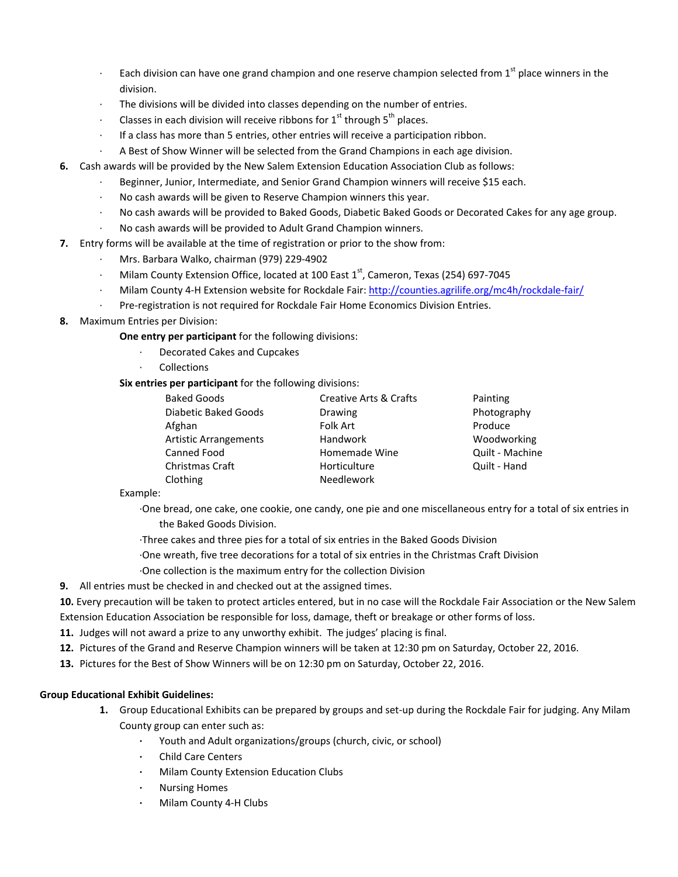- Each division can have one grand champion and one reserve champion selected from 1<sup>st</sup> place winners in the division.
- The divisions will be divided into classes depending on the number of entries.
- Classes in each division will receive ribbons for  $1<sup>st</sup>$  through  $5<sup>th</sup>$  places.
- ∙ If a class has more than 5 entries, other entries will receive a participation ribbon.
- ∙ A Best of Show Winner will be selected from the Grand Champions in each age division.
- **6.** Cash awards will be provided by the New Salem Extension Education Association Club as follows:
	- ∙ Beginner, Junior, Intermediate, and Senior Grand Champion winners will receive \$15 each.
	- ∙ No cash awards will be given to Reserve Champion winners this year.
	- ∙ No cash awards will be provided to Baked Goods, Diabetic Baked Goods or Decorated Cakes for any age group.
	- ∙ No cash awards will be provided to Adult Grand Champion winners.
- **7.** Entry forms will be available at the time of registration or prior to the show from:
	- ∙ Mrs. Barbara Walko, chairman (979) 229‐4902
	- Milam County Extension Office, located at 100 East 1<sup>st</sup>, Cameron, Texas (254) 697-7045
	- ∙ Milam County 4‐H Extension website for Rockdale Fair: http://counties.agrilife.org/mc4h/rockdale‐fair/
	- ∙ Pre‐registration is not required for Rockdale Fair Home Economics Division Entries.
- **8.** Maximum Entries per Division:

**One entry per participant** for the following divisions:

- ∙ Decorated Cakes and Cupcakes
- ∙ Collections

**Six entries per participant** for the following divisions:

| <b>Baked Goods</b>           | <b>Creative Arts &amp; Crafts</b> | Painting        |
|------------------------------|-----------------------------------|-----------------|
| Diabetic Baked Goods         | Drawing                           | Photography     |
| Afghan                       | Folk Art                          | Produce         |
| <b>Artistic Arrangements</b> | <b>Handwork</b>                   | Woodworking     |
| Canned Food                  | Homemade Wine                     | Quilt - Machine |
| Christmas Craft              | Horticulture                      | Quilt - Hand    |
| Clothing                     | <b>Needlework</b>                 |                 |

Example:

- ∙One bread, one cake, one cookie, one candy, one pie and one miscellaneous entry for a total of six entries in the Baked Goods Division.
- ∙Three cakes and three pies for a total of six entries in the Baked Goods Division
- ∙One wreath, five tree decorations for a total of six entries in the Christmas Craft Division
- ∙One collection is the maximum entry for the collection Division
- **9.** All entries must be checked in and checked out at the assigned times.

**10.** Every precaution will be taken to protect articles entered, but in no case will the Rockdale Fair Association or the New Salem Extension Education Association be responsible for loss, damage, theft or breakage or other forms of loss.

- **11.** Judges will not award a prize to any unworthy exhibit. The judges' placing is final.
- **12.** Pictures of the Grand and Reserve Champion winners will be taken at 12:30 pm on Saturday, October 22, 2016.
- **13.** Pictures for the Best of Show Winners will be on 12:30 pm on Saturday, October 22, 2016.

# **Group Educational Exhibit Guidelines:**

- **1.**  Group Educational Exhibits can be prepared by groups and set‐up during the Rockdale Fair for judging. Any Milam County group can enter such as:
	- **∙** Youth and Adult organizations/groups (church, civic, or school)
	- **∙** Child Care Centers
	- **∙** Milam County Extension Education Clubs
	- **∙** Nursing Homes
	- **∙** Milam County 4‐H Clubs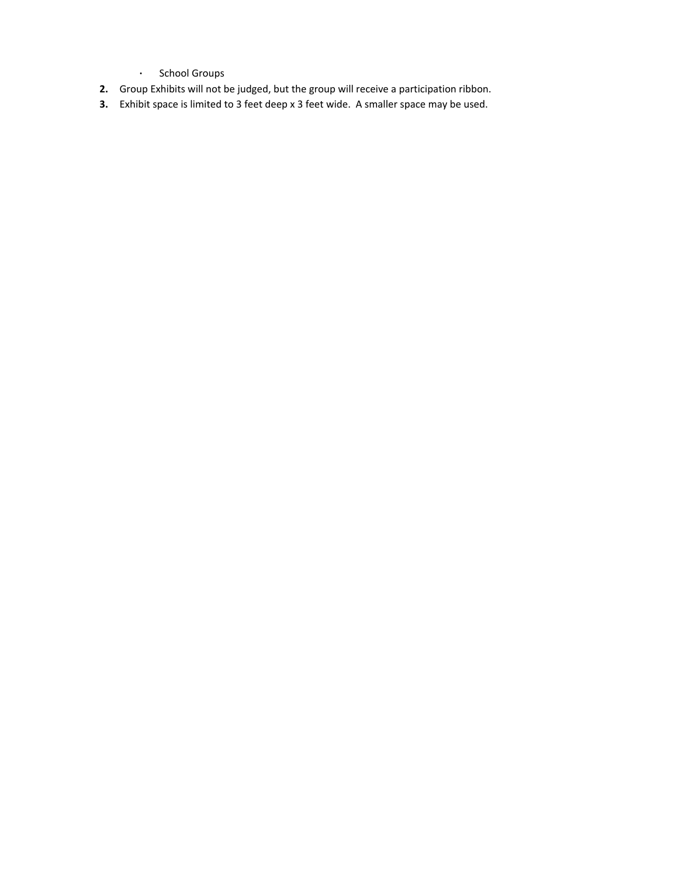- **∙** School Groups
- **2.** Group Exhibits will not be judged, but the group will receive a participation ribbon.
- **3.** Exhibit space is limited to 3 feet deep x 3 feet wide. A smaller space may be used.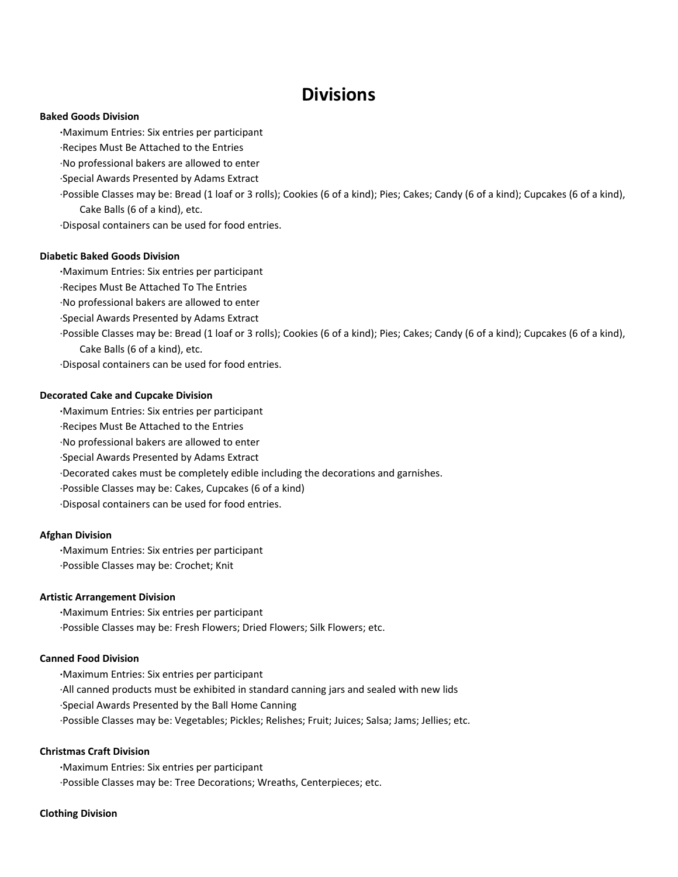# **Divisions**

#### **Baked Goods Division**

**∙**Maximum Entries: Six entries per participant

∙Recipes Must Be Attached to the Entries

∙No professional bakers are allowed to enter

∙Special Awards Presented by Adams Extract

∙Possible Classes may be: Bread (1 loaf or 3 rolls); Cookies (6 of a kind); Pies; Cakes; Candy (6 of a kind); Cupcakes (6 of a kind), Cake Balls (6 of a kind), etc.

∙Disposal containers can be used for food entries.

#### **Diabetic Baked Goods Division**

**∙**Maximum Entries: Six entries per participant

- ∙Recipes Must Be Attached To The Entries
- ∙No professional bakers are allowed to enter
- ∙Special Awards Presented by Adams Extract

∙Possible Classes may be: Bread (1 loaf or 3 rolls); Cookies (6 of a kind); Pies; Cakes; Candy (6 of a kind); Cupcakes (6 of a kind), Cake Balls (6 of a kind), etc.

∙Disposal containers can be used for food entries.

#### **Decorated Cake and Cupcake Division**

**∙**Maximum Entries: Six entries per participant

- ∙Recipes Must Be Attached to the Entries
- ∙No professional bakers are allowed to enter
- ∙Special Awards Presented by Adams Extract

∙Decorated cakes must be completely edible including the decorations and garnishes.

∙Possible Classes may be: Cakes, Cupcakes (6 of a kind)

∙Disposal containers can be used for food entries.

#### **Afghan Division**

**∙**Maximum Entries: Six entries per participant ∙Possible Classes may be: Crochet; Knit

#### **Artistic Arrangement Division**

**∙**Maximum Entries: Six entries per participant ∙Possible Classes may be: Fresh Flowers; Dried Flowers; Silk Flowers; etc.

#### **Canned Food Division**

**∙**Maximum Entries: Six entries per participant ∙All canned products must be exhibited in standard canning jars and sealed with new lids ∙Special Awards Presented by the Ball Home Canning ∙Possible Classes may be: Vegetables; Pickles; Relishes; Fruit; Juices; Salsa; Jams; Jellies; etc.

#### **Christmas Craft Division**

**∙**Maximum Entries: Six entries per participant ∙Possible Classes may be: Tree Decorations; Wreaths, Centerpieces; etc.

#### **Clothing Division**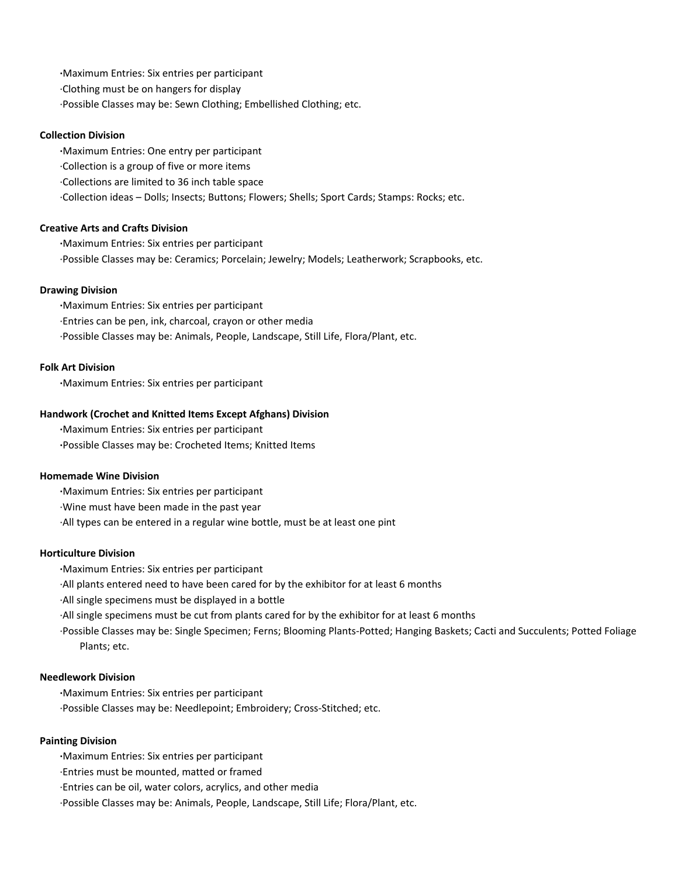**∙**Maximum Entries: Six entries per participant ∙Clothing must be on hangers for display ∙Possible Classes may be: Sewn Clothing; Embellished Clothing; etc.

### **Collection Division**

**∙**Maximum Entries: One entry per participant ∙Collection is a group of five or more items ∙Collections are limited to 36 inch table space ∙Collection ideas – Dolls; Insects; Buttons; Flowers; Shells; Sport Cards; Stamps: Rocks; etc.

### **Creative Arts and Crafts Division**

**∙**Maximum Entries: Six entries per participant ∙Possible Classes may be: Ceramics; Porcelain; Jewelry; Models; Leatherwork; Scrapbooks, etc.

### **Drawing Division**

**∙**Maximum Entries: Six entries per participant ∙Entries can be pen, ink, charcoal, crayon or other media ∙Possible Classes may be: Animals, People, Landscape, Still Life, Flora/Plant, etc.

#### **Folk Art Division**

**∙**Maximum Entries: Six entries per participant

### **Handwork (Crochet and Knitted Items Except Afghans) Division**

**∙**Maximum Entries: Six entries per participant **∙**Possible Classes may be: Crocheted Items; Knitted Items

#### **Homemade Wine Division**

**∙**Maximum Entries: Six entries per participant

∙Wine must have been made in the past year

∙All types can be entered in a regular wine bottle, must be at least one pint

#### **Horticulture Division**

**∙**Maximum Entries: Six entries per participant

∙All plants entered need to have been cared for by the exhibitor for at least 6 months

∙All single specimens must be displayed in a bottle

∙All single specimens must be cut from plants cared for by the exhibitor for at least 6 months

∙Possible Classes may be: Single Specimen; Ferns; Blooming Plants‐Potted; Hanging Baskets; Cacti and Succulents; Potted Foliage Plants; etc.

# **Needlework Division**

**∙**Maximum Entries: Six entries per participant ∙Possible Classes may be: Needlepoint; Embroidery; Cross‐Stitched; etc.

# **Painting Division**

**∙**Maximum Entries: Six entries per participant

∙Entries must be mounted, matted or framed

∙Entries can be oil, water colors, acrylics, and other media

∙Possible Classes may be: Animals, People, Landscape, Still Life; Flora/Plant, etc.